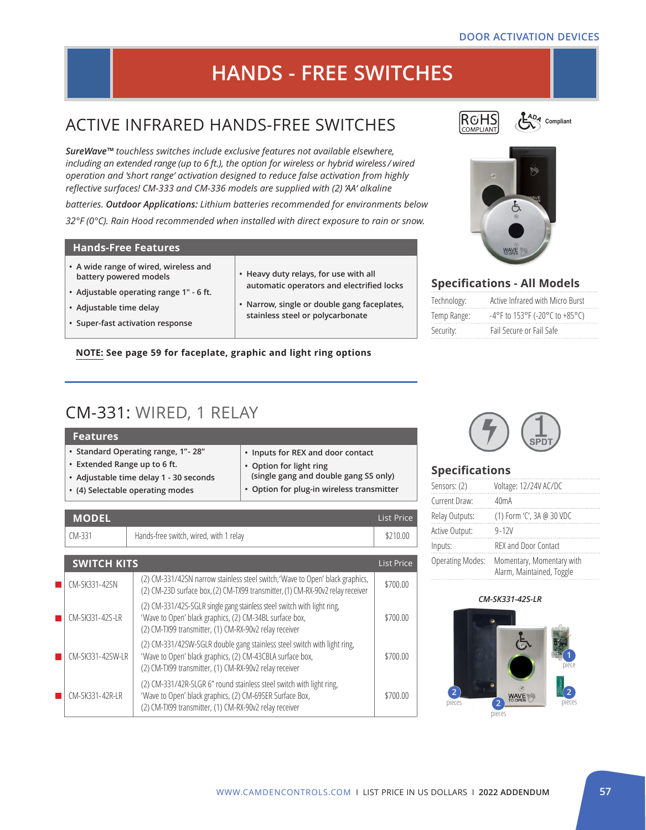#### **DOOR ACTIVATION DEVICES**

# **HANDS - FREE SWITCHES**

# ACTIVE INFRARED HANDS-FREE SWITCHES

*SureWave™ touchless switches include exclusive features not available elsewhere, including an extended range (up to 6 ft.), the option for wireless or hybrid wireless / wired operation and 'short range' activation designed to reduce false activation from highly reflective surfaces! CM-333 and CM-336 models are supplied with (2) 'AA' alkaline* 

*batteries. Outdoor Applications: Lithium batteries recommended for environments below 32°F (0°C). Rain Hood recommended when installed with direct exposure to rain or snow.* 

#### **Hands-Free Features**

- **• A wide range of wired, wireless and battery powered models**
- **• Adjustable operating range 1" 6 ft.**
- **• Adjustable time delay**
- **• Super-fast activation response**
- **• Heavy duty relays, for use with all automatic operators and electrified locks**
- **Narrow, single or double gang faceplates, stainless steel or polycarbonate**

#### **NOTE: See page 59 for faceplate, graphic and light ring options**

## CM-331: WIRED, 1 RELAY

| <b>Features</b>                        |                                           |
|----------------------------------------|-------------------------------------------|
| • Standard Operating range, 1" - 28"   | • Inputs for REX and door contact         |
| • Extended Range up to 6 ft.           | • Option for light ring                   |
| • Adjustable time delay 1 - 30 seconds | (single gang and double gang SS only)     |
| • (4) Selectable operating modes       | • Option for plug-in wireless transmitter |

| <b>MODEL</b>       |                                                                                                                                                                                                 | <b>List Price</b> |
|--------------------|-------------------------------------------------------------------------------------------------------------------------------------------------------------------------------------------------|-------------------|
| $CM-331$           | Hands-free switch, wired, with 1 relay                                                                                                                                                          | \$210.00          |
|                    |                                                                                                                                                                                                 |                   |
| <b>SWITCH KITS</b> |                                                                                                                                                                                                 | <b>List Price</b> |
| CM-SK331-42SN      | (2) CM-331/42SN narrow stainless steel switch, 'Wave to Open' black graphics,<br>(2) CM-23D surface box, (2) CM-TX99 transmitter, (1) CM-RX-90v2 relay receiver                                 | \$700.00          |
| CM-SK331-42S-LR    | (2) CM-331/42S-SGLR single gang stainless steel switch with light ring,<br>'Wave to Open' black graphics, (2) CM-34BL surface box,<br>(2) CM-TX99 transmitter, (1) CM-RX-90v2 relay receiver    | \$700.00          |
| CM-SK331-42SW-LR   | (2) CM-331/42SW-SGLR double gang stainless steel switch with light ring,<br>'Wave to Open' black graphics, (2) CM-43CBLA surface box,<br>(2) CM-TX99 transmitter, (1) CM-RX-90v2 relay receiver | \$700.00          |
| CM-SK331-42R-LR    | (2) CM-331/42R-SLGR 6" round stainless steel switch with light ring,<br>'Wave to Open' black graphics, (2) CM-69SER Surface Box,<br>(2) CM-TX99 transmitter, (1) CM-RX-90v2 relay receiver      | \$700.00          |



C<sub>ADA</sub> Compliant



### **Specifications - All Models**

| Technology: | Active Infrared with Micro Burst         |
|-------------|------------------------------------------|
| Temp Range: | $-4^{\circ}$ F to 153°F (-20°C to +85°C) |
| Security:   | Fail Secure or Fail Safe                 |



#### **Specifications**

| Sensors: (2)            | Voltage: 12/24V AC/DC                                  |
|-------------------------|--------------------------------------------------------|
| Current Draw:           | 40 <sub>m</sub> A                                      |
| Relay Outputs:          | (1) Form 'C', 3A @ 30 VDC                              |
| Active Output:          | $9 - 12V$                                              |
| Inputs:                 | <b>REX and Door Contact</b>                            |
| <b>Operating Modes:</b> | Momentary, Momentary with<br>Alarm, Maintained, Toggle |

#### *CM-SK331-42S-LR*

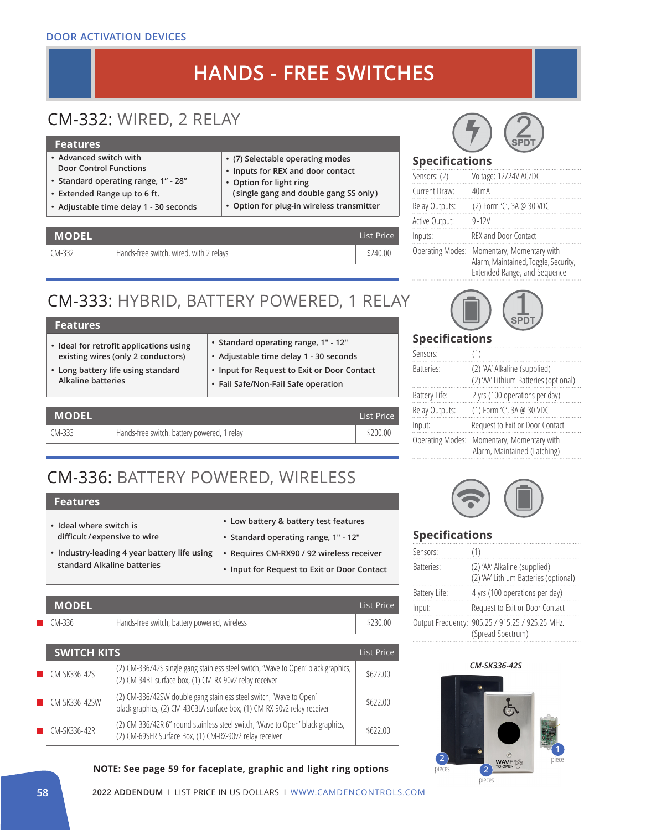#### **DOOR ACTIVATION DEVICES**

# **HANDS - FREE SWITCHES**

# CM-332: WIRED, 2 RELAY

#### **Features**

- **• Advanced switch with Door Control Functions**
- **• Standard operating range, 1" 28"**
- **• Extended Range up to 6 ft.**
- **• Adjustable time delay 1 30 seconds**

### **• (7) Selectable operating modes**

- **• Inputs for REX and door contact**
- **• Option for light ring**
- **( single gang and double gang SS only)**
- **• Option for plug-in wireless transmitter**

| <b>MODEL</b> ' |                                         | List Price I |
|----------------|-----------------------------------------|--------------|
| CM-332         | Hands-free switch, wired, with 2 relays | \$240.00     |

# CM-333: HYBRID, BATTERY POWERED, 1 RELAY

| <b>Features</b>                                                                                                                                  |                                                                                                                                                                      |
|--------------------------------------------------------------------------------------------------------------------------------------------------|----------------------------------------------------------------------------------------------------------------------------------------------------------------------|
| • Ideal for retrofit applications using<br>existing wires (only 2 conductors)<br>• Long battery life using standard<br><b>Alkaline batteries</b> | • Standard operating range, 1" - 12"<br>• Adjustable time delay 1 - 30 seconds<br>• Input for Request to Exit or Door Contact<br>• Fail Safe/Non-Fail Safe operation |
|                                                                                                                                                  |                                                                                                                                                                      |

| <b>MODEL</b> |                                             | List Price |
|--------------|---------------------------------------------|------------|
| $(M-333)$    | Hands-free switch, battery powered, 1 relay | \$200.00   |

# CM-336: BATTERY POWERED, WIRELESS

### **Features**

| • Ideal where switch is                      | • Low battery & battery test features       |
|----------------------------------------------|---------------------------------------------|
| difficult / expensive to wire                | • Standard operating range, 1" - 12"        |
| • Industry-leading 4 year battery life using | • Requires CM-RX90 / 92 wireless receiver   |
| standard Alkaline batteries                  | • Input for Request to Exit or Door Contact |

| MODEL' |                                              | List Price I |
|--------|----------------------------------------------|--------------|
| CM-336 | Hands-free switch, battery powered, wireless | \$230.00     |

| <b>SWITCH KITS</b> |                                                                                                                                                | List Price |
|--------------------|------------------------------------------------------------------------------------------------------------------------------------------------|------------|
| CM-SK336-42S       | (2) CM-336/42S single gang stainless steel switch, 'Wave to Open' black graphics,<br>(2) CM-34BL surface box, (1) CM-RX-90v2 relay receiver    | \$622.00   |
| CM-SK336-42SW      | (2) CM-336/42SW double gang stainless steel switch, 'Wave to Open'<br>black graphics, (2) CM-43CBLA surface box, (1) CM-RX-90v2 relay receiver | \$622.00   |
| CM-SK336-42R       | (2) CM-336/42R 6" round stainless steel switch, 'Wave to Open' black graphics,<br>(2) CM-69SER Surface Box, (1) CM-RX-90v2 relay receiver      | \$622.00   |

#### **NOTE: See page 59 for faceplate, graphic and light ring options**



### **Specifications**

| Sensors: (2)            | Voltage: 12/24V AC/DC                                                                             |
|-------------------------|---------------------------------------------------------------------------------------------------|
| Current Draw:           | 40 m A                                                                                            |
| Relay Outputs:          | (2) Form 'C', 3A @ 30 VDC                                                                         |
| Active Output:          | $9 - 12V$                                                                                         |
| Inputs:                 | REX and Door Contact                                                                              |
| <b>Operating Modes:</b> | Momentary, Momentary with<br>Alarm, Maintained, Toggle, Security,<br>Extended Range, and Sequence |



### **Specifications**

| Sensors:                | (1)                                                                   |
|-------------------------|-----------------------------------------------------------------------|
| <b>Batteries:</b>       | (2) 'AA' Alkaline (supplied)<br>(2) 'AA' Lithium Batteries (optional) |
| Battery Life:           | 2 yrs (100 operations per day)                                        |
| Relay Outputs:          | (1) Form 'C', 3A @ 30 VDC                                             |
| Input:                  | Request to Exit or Door Contact                                       |
| <b>Operating Modes:</b> | Momentary, Momentary with<br>Alarm, Maintained (Latching)             |
|                         |                                                                       |



### **Specifications**

| Sensors:      | (1)                                                                   |
|---------------|-----------------------------------------------------------------------|
| Batteries:    | (2) 'AA' Alkaline (supplied)<br>(2) 'AA' Lithium Batteries (optional) |
| Battery Life: | 4 yrs (100 operations per day)                                        |
| Input:        | Request to Exit or Door Contact                                       |
|               | Output Frequency: 905.25 / 915.25 / 925.25 MHz.<br>(Spread Spectrum)  |

#### *CM-SK336-42S*